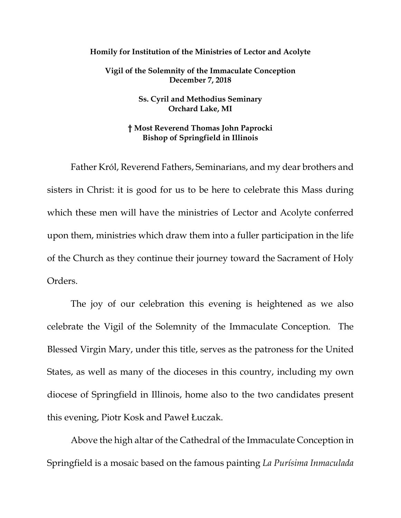## **Homily for Institution of the Ministries of Lector and Acolyte**

**Vigil of the Solemnity of the Immaculate Conception December 7, 2018**

> **Ss. Cyril and Methodius Seminary Orchard Lake, MI**

## **† Most Reverend Thomas John Paprocki Bishop of Springfield in Illinois**

Father Król, Reverend Fathers, Seminarians, and my dear brothers and sisters in Christ: it is good for us to be here to celebrate this Mass during which these men will have the ministries of Lector and Acolyte conferred upon them, ministries which draw them into a fuller participation in the life of the Church as they continue their journey toward the Sacrament of Holy Orders.

The joy of our celebration this evening is heightened as we also celebrate the Vigil of the Solemnity of the Immaculate Conception. The Blessed Virgin Mary, under this title, serves as the patroness for the United States, as well as many of the dioceses in this country, including my own diocese of Springfield in Illinois, home also to the two candidates present this evening, Piotr Kosk and Paweł Łuczak.

Above the high altar of the Cathedral of the Immaculate Conception in Springfield is a mosaic based on the famous painting *La Purísima Inmaculada*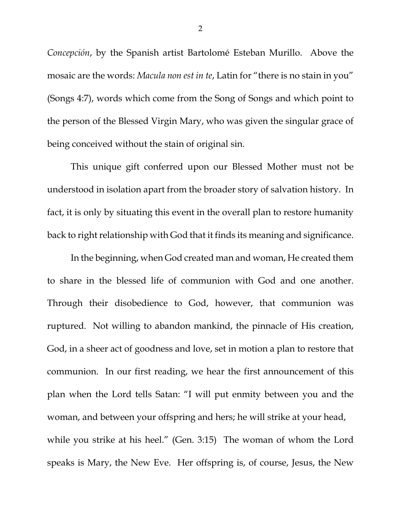*Concepción*, by the Spanish artist Bartolomé Esteban Murillo. Above the mosaic are the words: *Macula non est in te*, Latin for "there is no stain in you" (Songs 4:7), words which come from the Song of Songs and which point to the person of the Blessed Virgin Mary, who was given the singular grace of being conceived without the stain of original sin.

This unique gift conferred upon our Blessed Mother must not be understood in isolation apart from the broader story of salvation history. In fact, it is only by situating this event in the overall plan to restore humanity back to right relationship with God that it finds its meaning and significance.

<span id="page-1-2"></span><span id="page-1-1"></span><span id="page-1-0"></span>In the beginning, when God created man and woman, He created them to share in the blessed life of communion with God and one another. Through their disobedience to God, however, that communion was ruptured. Not willing to abandon mankind, the pinnacle of His creation, God, in a sheer act of goodness and love, set in motion a plan to restore that communion. In our first reading, we hear the first announcement of this plan when the Lord tells Satan: "I will put enmity between you and the woman, and between your offspring and hers; he will strike at your head, while you strike at his heel." (Gen. 3:15) The woman of whom the Lord speaks is Mary, the New Eve. Her offspring is, of course, Jesus, the New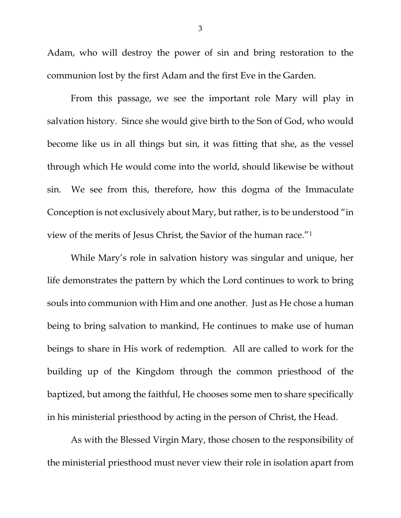Adam, who will destroy the power of sin and bring restoration to the communion lost by the first Adam and the first Eve in the Garden.

From this passage, we see the important role Mary will play in salvation history. Since she would give birth to the Son of God, who would become like us in all things but sin, it was fitting that she, as the vessel through which He would come into the world, should likewise be without sin. We see from this, therefore, how this dogma of the Immaculate Conception is not exclusively about Mary, but rather, is to be understood "in view of the merits of Jesus Christ, the Savior of the human race."[1](#page-1-0)

While Mary's role in salvation history was singular and unique, her life demonstrates the pattern by which the Lord continues to work to bring souls into communion with Him and one another. Just as He chose a human being to bring salvation to mankind, He continues to make use of human beings to share in His work of redemption. All are called to work for the building up of the Kingdom through the common priesthood of the baptized, but among the faithful, He chooses some men to share specifically in his ministerial priesthood by acting in the person of Christ, the Head.

As with the Blessed Virgin Mary, those chosen to the responsibility of the ministerial priesthood must never view their role in isolation apart from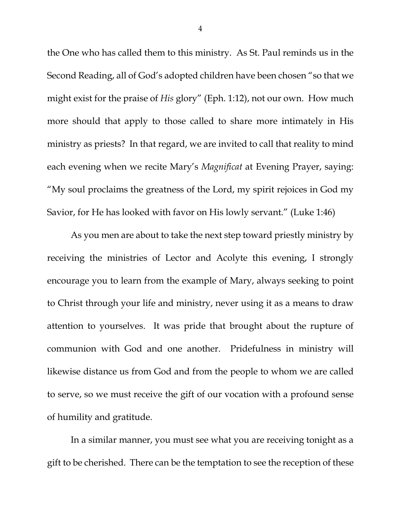the One who has called them to this ministry. As St. Paul reminds us in the Second Reading, all of God's adopted children have been chosen "so that we might exist for the praise of *His* glory" (Eph. 1:12), not our own. How much more should that apply to those called to share more intimately in His ministry as priests? In that regard, we are invited to call that reality to mind each evening when we recite Mary's *Magnificat* at Evening Prayer, saying: "My soul proclaims the greatness of the Lord, my spirit rejoices in God my Savior, for He has looked with favor on His lowly servant." (Luke 1:46)

As you men are about to take the next step toward priestly ministry by receiving the ministries of Lector and Acolyte this evening, I strongly encourage you to learn from the example of Mary, always seeking to point to Christ through your life and ministry, never using it as a means to draw attention to yourselves. It was pride that brought about the rupture of communion with God and one another. Pridefulness in ministry will likewise distance us from God and from the people to whom we are called to serve, so we must receive the gift of our vocation with a profound sense of humility and gratitude.

In a similar manner, you must see what you are receiving tonight as a gift to be cherished. There can be the temptation to see the reception of these

4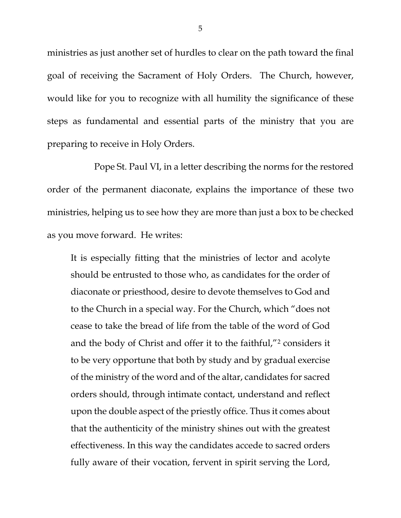ministries as just another set of hurdles to clear on the path toward the final goal of receiving the Sacrament of Holy Orders. The Church, however, would like for you to recognize with all humility the significance of these steps as fundamental and essential parts of the ministry that you are preparing to receive in Holy Orders.

Pope St. Paul VI, in a letter describing the norms for the restored order of the permanent diaconate, explains the importance of these two ministries, helping us to see how they are more than just a box to be checked as you move forward. He writes:

It is especially fitting that the ministries of lector and acolyte should be entrusted to those who, as candidates for the order of diaconate or priesthood, desire to devote themselves to God and to the Church in a special way. For the Church, which "does not cease to take the bread of life from the table of the word of God and the body of Christ and offer it to the faithful,"[2](#page-1-1) considers it to be very opportune that both by study and by gradual exercise of the ministry of the word and of the altar, candidates for sacred orders should, through intimate contact, understand and reflect upon the double aspect of the priestly office. Thus it comes about that the authenticity of the ministry shines out with the greatest effectiveness. In this way the candidates accede to sacred orders fully aware of their vocation, fervent in spirit serving the Lord,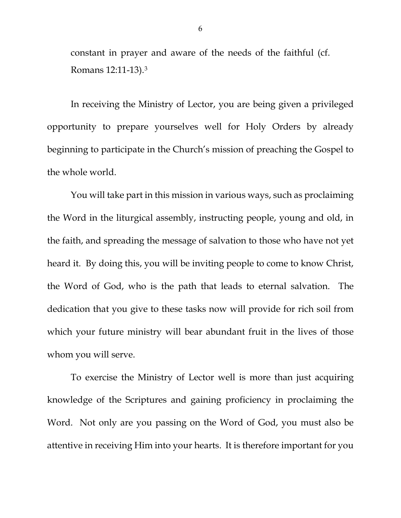constant in prayer and aware of the needs of the faithful (cf. Romans 12:11-13).[3](#page-1-2)

In receiving the Ministry of Lector, you are being given a privileged opportunity to prepare yourselves well for Holy Orders by already beginning to participate in the Church's mission of preaching the Gospel to the whole world.

You will take part in this mission in various ways, such as proclaiming the Word in the liturgical assembly, instructing people, young and old, in the faith, and spreading the message of salvation to those who have not yet heard it. By doing this, you will be inviting people to come to know Christ, the Word of God, who is the path that leads to eternal salvation. The dedication that you give to these tasks now will provide for rich soil from which your future ministry will bear abundant fruit in the lives of those whom you will serve.

To exercise the Ministry of Lector well is more than just acquiring knowledge of the Scriptures and gaining proficiency in proclaiming the Word. Not only are you passing on the Word of God, you must also be attentive in receiving Him into your hearts. It is therefore important for you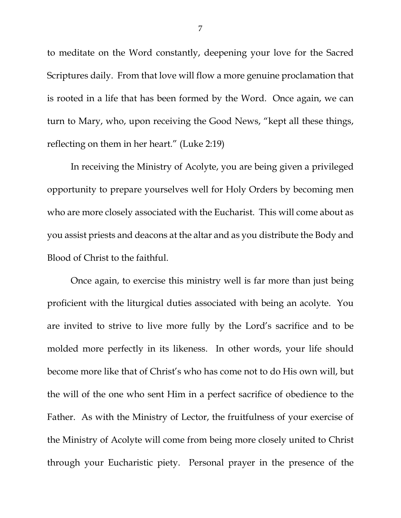to meditate on the Word constantly, deepening your love for the Sacred Scriptures daily. From that love will flow a more genuine proclamation that is rooted in a life that has been formed by the Word. Once again, we can turn to Mary, who, upon receiving the Good News, "kept all these things, reflecting on them in her heart." (Luke 2:19)

In receiving the Ministry of Acolyte, you are being given a privileged opportunity to prepare yourselves well for Holy Orders by becoming men who are more closely associated with the Eucharist. This will come about as you assist priests and deacons at the altar and as you distribute the Body and Blood of Christ to the faithful.

Once again, to exercise this ministry well is far more than just being proficient with the liturgical duties associated with being an acolyte. You are invited to strive to live more fully by the Lord's sacrifice and to be molded more perfectly in its likeness. In other words, your life should become more like that of Christ's who has come not to do His own will, but the will of the one who sent Him in a perfect sacrifice of obedience to the Father. As with the Ministry of Lector, the fruitfulness of your exercise of the Ministry of Acolyte will come from being more closely united to Christ through your Eucharistic piety. Personal prayer in the presence of the